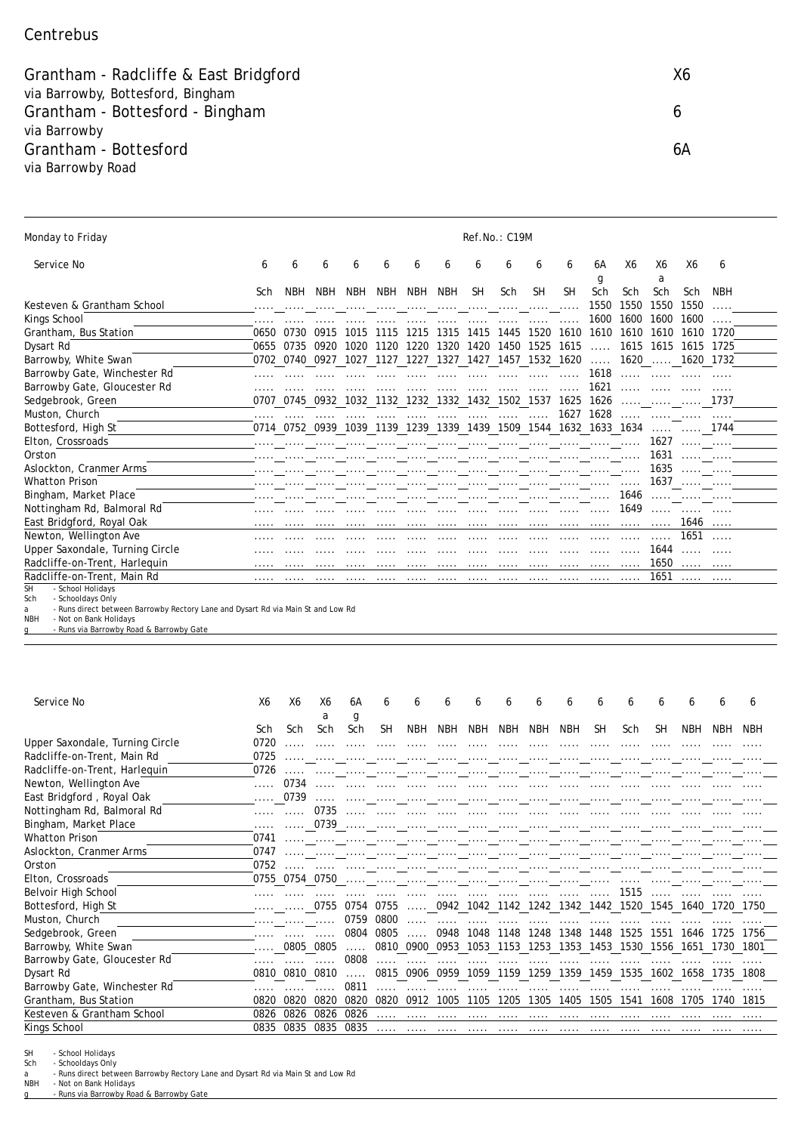## Centrebus

Grantham - Radcliffe & East Bridgford **X6** Samuel Control of Assembly 2008 X6 via Barrowby, Bottesford, Bingham Grantham - Bottesford - Bingham 6 via Barrowby Grantham - Bottesford 6A via Barrowby Road

| Monday to Friday                                    | Ref.No.: C19M |      |            |                                                        |            |            |            |           |      |           |           |            |         |         |                 |            |
|-----------------------------------------------------|---------------|------|------------|--------------------------------------------------------|------------|------------|------------|-----------|------|-----------|-----------|------------|---------|---------|-----------------|------------|
| Service No                                          | 6             | 6    | 6          | 6                                                      | 6          | 6          | 6          | 6         | 6    | 6         | 6         | 6A         | Х6      | X6      | X6              | 6          |
|                                                     |               |      |            |                                                        |            |            |            |           |      |           |           | g          |         | a       |                 |            |
|                                                     | Sch           | NBH  | <b>NBH</b> | <b>NBH</b>                                             | <b>NBH</b> | <b>NBH</b> | <b>NBH</b> | <b>SH</b> | Sch  | <b>SH</b> | <b>SH</b> | Sch        | Sch     | Sch     | Sch             | <b>NBH</b> |
| Kesteven & Grantham School                          | .             |      |            |                                                        |            |            |            |           |      |           | .         | 1550       | 1550    | 1550    | 1550            |            |
| Kings School                                        | .             |      |            |                                                        |            |            |            |           |      |           | .         | 1600       | 1600    | 1600    | 1600            | .          |
| Grantham, Bus Station                               | 0650          | 0730 | 0915       | 1015                                                   | 1115       | 1215       | 1315       | 1415      | 1445 | 1520      | 1610      | 1610       | 1610    | 1610    | 1610            | 1720       |
| Dysart Rd                                           | 0655          | 0735 | 0920       | 1020                                                   | 1120       | 1220       | 1320       | 1420      | 1450 | 1525      | 1615      | .          | 1615    | 1615    | 1615            | 1725       |
| Barrowby, White Swan                                |               |      |            | 0702 0740 0927 1027 1127 1227 1327 1427 1457 1532 1620 |            |            |            |           |      |           |           | $\ldots$ . |         |         | 1620  1620 1732 |            |
| Barrowby Gate, Winchester Rd                        |               |      |            |                                                        |            |            |            |           |      |           |           | 1618       |         |         |                 |            |
| Barrowby Gate, Gloucester Rd                        |               |      |            |                                                        |            |            |            |           |      |           |           | 1621       |         |         |                 |            |
| Sedgebrook, Green                                   | 0707          | 0745 | 0932       | 1032                                                   | 1132       | 1232       | 1332       | 1432      | 1502 | 1537      | 1625      | 1626       | .       |         |                 | 1737       |
| Muston, Church                                      |               |      |            |                                                        |            |            |            |           |      | .         | 1627      | 1628       | .       | 1.1.1.1 |                 | .          |
| Bottesford, High St                                 | 0714          | 0752 | 0939       | 1039                                                   | 1139       | 1239       | 1339       | 1439      | 1509 | 1544      | 1632      | 1633       | 1634    | .       |                 | 1744       |
| Elton, Crossroads                                   |               |      |            |                                                        |            |            |            |           |      |           |           |            |         | 1627    | 1.1.1.1         | 1.1.1.1    |
| Orston                                              |               |      |            |                                                        |            |            |            |           |      |           |           |            | .       | 1631    | 1.1.1.1         | 1.1.1.1    |
| Aslockton, Cranmer Arms                             | .             |      |            |                                                        |            |            | .          | .         | .    | .         | .         | .          | .       | 1635    | 1.1.1.1         | .          |
| <b>Whatton Prison</b>                               |               |      |            |                                                        |            |            |            |           |      |           |           |            | 1.1.1.1 |         | $1637$          |            |
| Bingham, Market Place                               |               |      |            |                                                        |            |            |            |           |      | .         |           |            |         |         | 1646            |            |
| Nottingham Rd, Balmoral Rd                          |               |      |            |                                                        |            |            |            |           |      |           |           |            | 1649    | 1.1.1.1 |                 |            |
| East Bridgford, Royal Oak                           |               |      |            |                                                        |            |            |            |           |      |           |           |            |         |         | 1646            |            |
| Newton, Wellington Ave                              |               |      |            |                                                        |            |            |            |           |      |           |           |            |         |         | 1651            |            |
| Upper Saxondale, Turning Circle                     |               |      |            |                                                        |            |            |            |           |      |           |           |            |         | 1644    | .               |            |
| Radcliffe-on-Trent, Harlequin                       |               |      |            |                                                        |            |            |            |           |      |           |           |            |         | 1650    |                 |            |
| Radcliffe-on-Trent, Main Rd                         |               |      |            |                                                        |            |            |            |           |      |           |           |            |         | 1651    |                 |            |
| - School Holidays<br>SH<br>Sch<br>- Schooldays Only |               |      |            |                                                        |            |            |            |           |      |           |           |            |         |         |                 |            |

Sch - Schooldays Only a - Runs direct between Barrowby Rectory Lane and Dysart Rd via Main St and Low Rd

NBH - Not on Bank Holidays

g - Runs via Barrowby Road & Barrowby Gate

| Service No                      | Х6   | Χ6        | Х6<br>a       | 6A<br>g    | 6         | 6          | b          | 6          | b                        | h              | 6          | 6    | 6    | 6    | 6          | 6    | 6    |
|---------------------------------|------|-----------|---------------|------------|-----------|------------|------------|------------|--------------------------|----------------|------------|------|------|------|------------|------|------|
|                                 | Sch  | Sch       | Sch           | Sch        | <b>SH</b> | <b>NBH</b> | <b>NBH</b> | <b>NBH</b> | <b>NBH</b>               | <b>NBH</b>     | <b>NBH</b> | SΗ   | Sch  | SΗ   | <b>NBH</b> | NBH  | NBH  |
| Upper Saxondale, Turning Circle | 0720 |           |               |            |           |            |            |            |                          |                |            |      |      |      |            |      |      |
| Radcliffe-on-Trent, Main Rd     | 0725 |           |               |            |           |            |            |            |                          |                |            |      |      |      |            |      |      |
| Radcliffe-on-Trent, Harlequin   | 0726 |           |               |            |           |            |            |            |                          |                |            |      |      |      |            |      |      |
| Newton, Wellington Ave          |      | 0734      |               |            |           |            |            |            |                          |                |            |      |      |      |            |      |      |
| East Bridgford, Royal Oak       |      | 0739      | .             |            |           |            |            |            |                          |                |            |      |      |      |            |      |      |
| Nottingham Rd, Balmoral Rd      |      |           | 0735          |            |           |            |            |            |                          |                |            |      |      |      |            |      |      |
| Bingham, Market Place           |      |           | $\ldots$ 0739 |            | .         |            |            |            |                          |                |            |      |      |      |            |      |      |
| <b>Whatton Prison</b>           | 0741 |           |               |            |           |            | .          |            | .                        |                |            |      |      |      |            |      |      |
| Aslockton, Cranmer Arms         | 0747 |           |               |            |           |            |            |            |                          |                |            |      |      |      |            |      |      |
| Orston                          | 0752 |           |               |            |           |            |            |            |                          |                |            |      |      |      |            |      |      |
| Elton, Crossroads               | 0755 | 0754      | 0750          |            |           |            |            |            |                          |                |            |      |      |      |            |      |      |
| Belvoir High School             |      |           |               |            |           |            |            |            |                          |                |            |      | 1515 |      |            |      |      |
| Bottesford, High St             |      |           | 0755          | 0754       | 0755      | .          | 0942       |            | 1042 1142 1242           |                | 1342       | 1442 | 1520 | 1545 | 1640       | 1720 | 1750 |
| Muston, Church                  | .    |           |               | 0759       | 0800      |            |            |            |                          |                |            |      |      |      |            |      |      |
| Sedgebrook, Green               |      |           |               | 0804       | 0805      |            | 0948       | 1048       | 1148                     | 1248           | 1348       | 1448 | 1525 | 1551 | 1646       | 1725 | 1756 |
| Barrowby, White Swan            |      | 0805 0805 |               | $\ldots$ . |           |            |            |            | 0810 0900 0953 1053 1153 | 1253 1353 1453 |            |      | 1530 | 1556 | 1651       | 1730 | 1801 |
| Barrowby Gate, Gloucester Rd    |      |           |               | 0808       |           |            |            |            |                          |                |            |      |      |      |            |      |      |
| Dysart Rd                       | 0810 | 0810      | 0810          |            | 0815      | 0906       | 0959       | 1059       | 1159                     | 259            | 1359       | 1459 | 1535 | 1602 | 1658       | 1735 | 1808 |
| Barrowby Gate, Winchester Rd    |      |           |               | 0811       |           |            |            |            |                          |                |            |      |      |      |            |      |      |
| Grantham, Bus Station           | 0820 | 0820      | 0820          | 0820       | 0820      | 0912       | 1005       | 1105       | 1205                     | 1305           | 1405       | 1505 | 1541 | 1608 | 1705       | 1740 | 1815 |
| Kesteven & Grantham School      | 0826 | 0826      | 0826          | 0826       |           |            |            |            |                          |                |            |      |      |      |            |      |      |
| Kings School                    | 0835 | 0835      | 0835          | 0835       | .         |            |            |            |                          |                |            |      |      |      |            |      |      |

SH - School Holidays<br>Sch - Schooldays Only

Sch - Schooldays Only a - Runs direct between Barrowby Rectory Lane and Dysart Rd via Main St and Low Rd

NBH - Not on Bank Holidays<br>g - Runs via Barrowby Road & Barrowby Gate